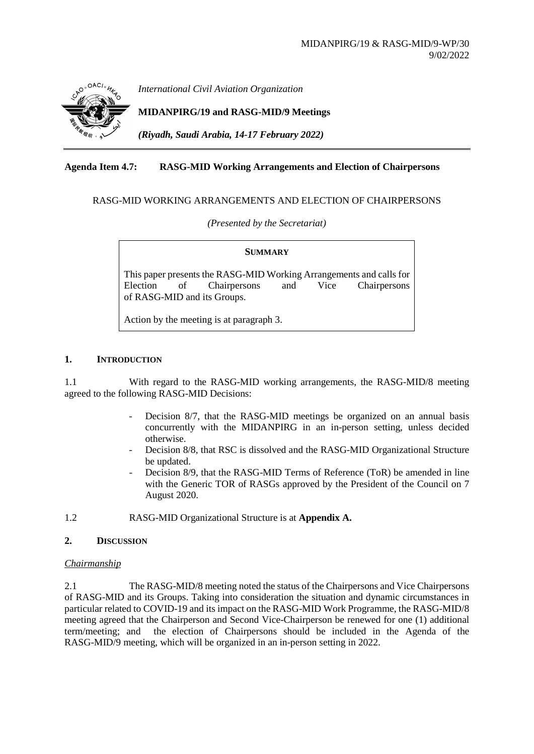

*International Civil Aviation Organization*

## **MIDANPIRG/19 and RASG-MID/9 Meetings**

*(Riyadh, Saudi Arabia, 14-17 February 2022)*

## **Agenda Item 4.7: RASG-MID Working Arrangements and Election of Chairpersons**

#### RASG-MID WORKING ARRANGEMENTS AND ELECTION OF CHAIRPERSONS

*(Presented by the Secretariat)*

#### **SUMMARY**

This paper presents the RASG-MID Working Arrangements and calls for Election of Chairpersons and Vice Chairpersons of RASG-MID and its Groups.

Action by the meeting is at paragraph 3.

#### **1. INTRODUCTION**

1.1 With regard to the RASG-MID working arrangements, the RASG-MID/8 meeting agreed to the following RASG-MID Decisions:

- Decision 8/7, that the RASG-MID meetings be organized on an annual basis concurrently with the MIDANPIRG in an in-person setting, unless decided otherwise.
- Decision 8/8, that RSC is dissolved and the RASG-MID Organizational Structure be updated.
- Decision 8/9, that the RASG-MID Terms of Reference (ToR) be amended in line with the Generic TOR of RASGs approved by the President of the Council on 7 August 2020.
- 1.2 RASG-MID Organizational Structure is at **Appendix A.**

#### **2. DISCUSSION**

#### *Chairmanship*

2.1 The RASG-MID/8 meeting noted the status of the Chairpersons and Vice Chairpersons of RASG-MID and its Groups. Taking into consideration the situation and dynamic circumstances in particular related to COVID-19 and its impact on the RASG-MID Work Programme, the RASG-MID/8 meeting agreed that the Chairperson and Second Vice-Chairperson be renewed for one (1) additional term/meeting; and the election of Chairpersons should be included in the Agenda of the RASG-MID/9 meeting, which will be organized in an in-person setting in 2022.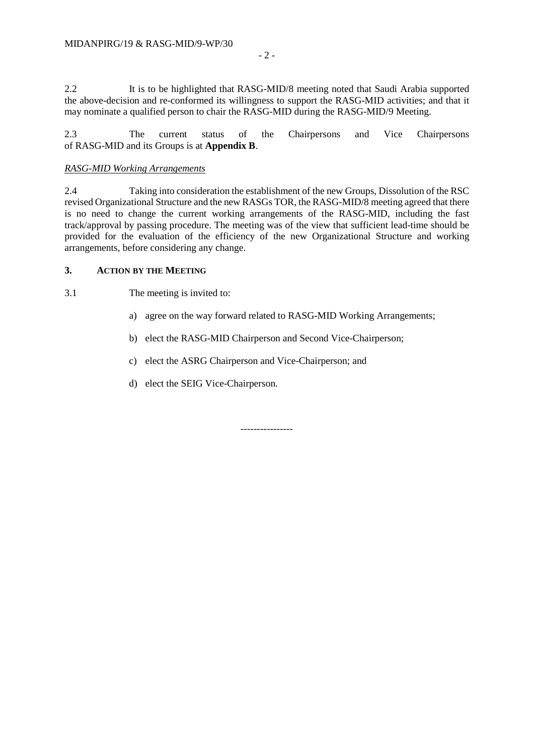2.2 It is to be highlighted that RASG-MID/8 meeting noted that Saudi Arabia supported the above-decision and re-conformed its willingness to support the RASG-MID activities; and that it may nominate a qualified person to chair the RASG-MID during the RASG-MID/9 Meeting.

2.3 The current status of the Chairpersons and Vice Chairpersons of RASG-MID and its Groups is at **Appendix B**.

#### *RASG-MID Working Arrangements*

2.4 Taking into consideration the establishment of the new Groups, Dissolution of the RSC revised Organizational Structure and the new RASGs TOR, the RASG-MID/8 meeting agreed that there is no need to change the current working arrangements of the RASG-MID, including the fast track/approval by passing procedure. The meeting was of the view that sufficient lead-time should be provided for the evaluation of the efficiency of the new Organizational Structure and working arrangements, before considering any change.

## **3. ACTION BY THE MEETING**

3.1 The meeting is invited to:

- a) agree on the way forward related to RASG-MID Working Arrangements;
- b) elect the RASG-MID Chairperson and Second Vice-Chairperson;
- c) elect the ASRG Chairperson and Vice-Chairperson; and
- d) elect the SEIG Vice-Chairperson.

----------------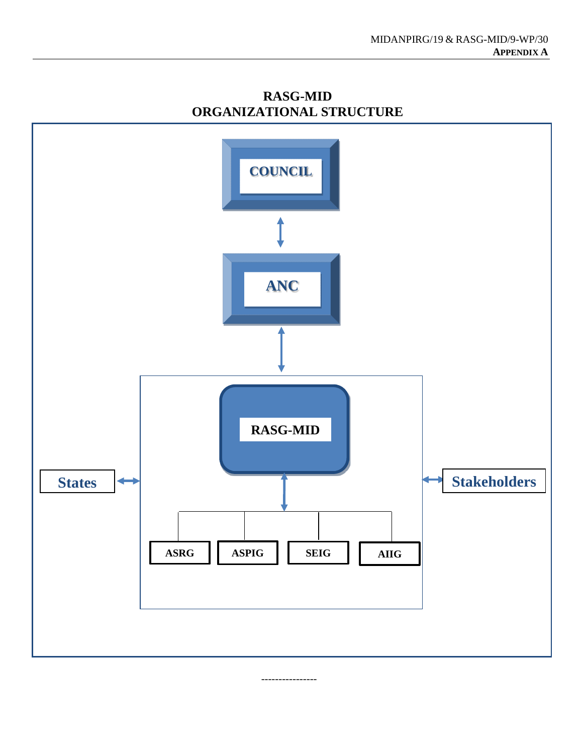**RASG-MID** States  $\leftarrow$  Stakeholders **ASRG ASPIG SEIG ANC COUNCIL AIIG**

----------------

# **RASG-MID ORGANIZATIONAL STRUCTURE**